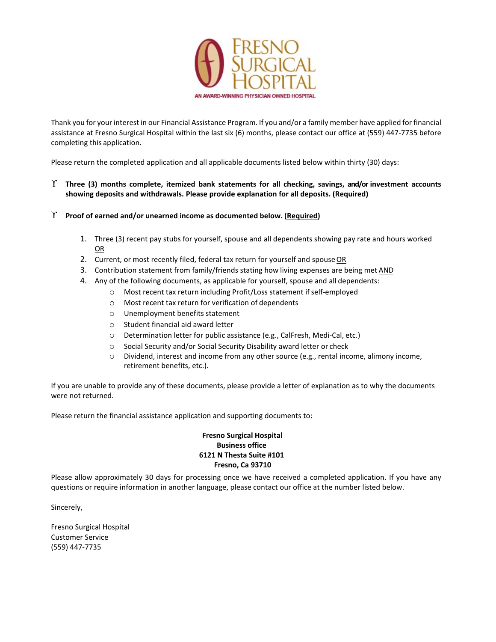

Thank you for your interest in our Financial Assistance Program. If you and/or a family member have applied for financial assistance at Fresno Surgical Hospital within the last six (6) months, please contact our office at (559) 447-7735 before completing this application.

Please return the completed application and all applicable documents listed below within thirty (30) days:

#### ϒ **Three (3) months complete, itemized bank statements for all checking, savings, and/or investment accounts showing deposits and withdrawals. Please provide explanation for all deposits. (Required)**

- ϒ **Proof of earned and/or unearned income as documented below. (Required)**
	- 1. Three (3) recent pay stubs for yourself, spouse and all dependents showing pay rate and hours worked OR
	- 2. Current, or most recently filed, federal tax return for yourself and spouseOR
	- 3. Contribution statement from family/friends stating how living expenses are being met AND
	- 4. Any of the following documents, as applicable for yourself, spouse and all dependents:
		- o Most recent tax return including Profit/Loss statement ifself-employed
		- o Most recent tax return for verification of dependents
		- o Unemployment benefits statement
		- o Student financial aid award letter
		- o Determination letter for public assistance (e.g., CalFresh, Medi-Cal, etc.)
		- o Social Security and/or Social Security Disability award letter or check
		- o Dividend, interest and income from any other source (e.g., rental income, alimony income, retirement benefits, etc.).

If you are unable to provide any of these documents, please provide a letter of explanation as to why the documents were not returned.

Please return the financial assistance application and supporting documents to:

#### **Fresno Surgical Hospital Business office 6121 N Thesta Suite #101 Fresno, Ca 93710**

Please allow approximately 30 days for processing once we have received a completed application. If you have any questions or require information in another language, please contact our office at the number listed below.

Sincerely,

Fresno Surgical Hospital Customer Service (559) 447-7735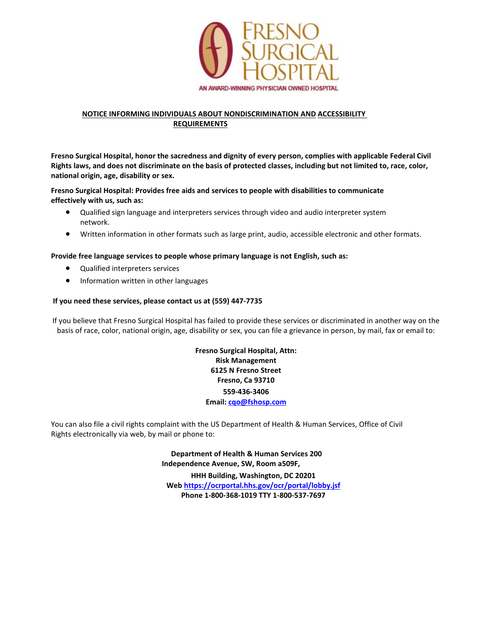

#### **NOTICE INFORMING INDIVIDUALS ABOUT NONDISCRIMINATION AND ACCESSIBILITY REQUIREMENTS**

**Fresno Surgical Hospital, honor the sacredness and dignity of every person, complies with applicable Federal Civil Rights laws, and does not discriminate on the basis of protected classes, including but not limited to, race, color, national origin, age, disability or sex.**

**Fresno Surgical Hospital: Provides free aids and services to people with disabilities to communicate effectively with us, such as:**

- Qualified sign language and interpreters services through video and audio interpreter system network.
- Written information in other formats such as large print, audio, accessible electronic and other formats.

#### **Provide free language services to people whose primary language is not English, such as:**

- Qualified interpreters services
- Information written in other languages

#### **If you need these services, please contact us at (559) 447-7735**

If you believe that Fresno Surgical Hospital has failed to provide these services or discriminated in another way on the basis of race, color, national origin, age, disability or sex, you can file a grievance in person, by mail, fax or email to:

> **Fresno Surgical Hospital, Attn: Risk Management 6125 N Fresno Street Fresno, Ca 93710 559-436-3406 Email: cqo@fshosp.com**

You can also file a civil rights complaint with the US Department of Health & Human Services, Office of Civil Rights electronically via web, by mail or phone to:

> **Department of Health & Human Services 200 Independence Avenue, SW, Room a509F, HHH Building, Washington, DC 20201 Web<https://ocrportal.hhs.gov/ocr/portal/lobby.jsf> Phone 1-800-368-1019 TTY 1-800-537-7697**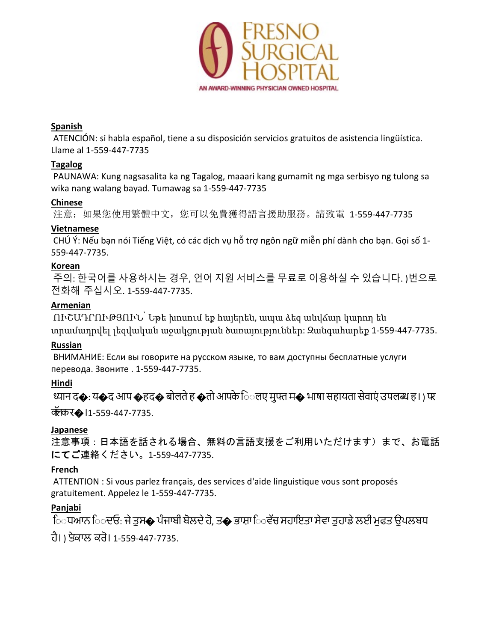

#### **Spanish**

ATENCIÓN: si habla español, tiene a su disposición servicios gratuitos de asistencia lingüística. Llame al 1-559-447-7735

### **Tagalog**

PAUNAWA: Kung nagsasalita ka ng Tagalog, maaari kang gumamit ng mga serbisyo ng tulong sa wika nang walang bayad. Tumawag sa 1-559-447-7735

#### **Chinese**

注意:如果您使用繁體中文,您可以免費獲得語言援助服務。請致電 1-559-447-7735

### **Vietnamese**

CHÚ Ý: Nếu bạn nói Tiếng Việt, có các dịch vụ hỗ trợ ngôn ngữ miễn phí dành cho bạn. Gọi số 1- 559-447-7735.

## **Korean**

주의: 한국어를 사용하시는 경우, 언어 지원 서비스를 무료로 이용하실 수 있습니다. )번으로 전화해 주십시오. 1-559-447-7735.

# **Armenian**

ՈՒՇԱԴՐՈՒԹՅՈՒՆ՝ Եթե խոսում եք հայերեն, ապա ձեզ անվճար կարող են տրամադրվել լեզվական աջակցության ծառայություններ: Զանգահարեք 1-559-447-7735.

# **Russian**

ВНИМАНИЕ: Если вы говорите на русском языке, то вам доступны бесплатные услуги перевода. Звоните . 1-559-447-7735.

# **Hindi**

�ान द�: य�दआप �हद� बोलतेह �तोआपकेि◌◌लए मु�म� भाषा सहायता सेवाएं उपल� ह। ) पर

कॉलकर�।1-559-447-7735.

## **Japanese**

注意事項:日本語を話される場合、無料の言語支援をご利用いただけます)まで、お電話 にてご連絡ください。1-559-447-7735.

## **French**

ATTENTION : Si vous parlez français, des services d'aide linguistique vous sont proposés gratuitement. Appelez le 1-559-447-7735.

## **Panjabi**

ਿ਼ਧਆਨ ਿੁਦਓ: ਜੇ ਤੁਸ� ਪੰਜਾਬੀ ਬੋਲਦੇ ਹੋ, ਤ� ਭਾਸ਼ਾ ਿਵੱਚ ਸਹਾਇਤਾ ਸੇਵਾ ਤੁਹਾਡੇ ਲਈ ਮੁਫਤ ਉਪਲਬਧ ਹੈ। ) 'ਤੇਕਾਲ ਕਰੋ। 1-559-447-7735.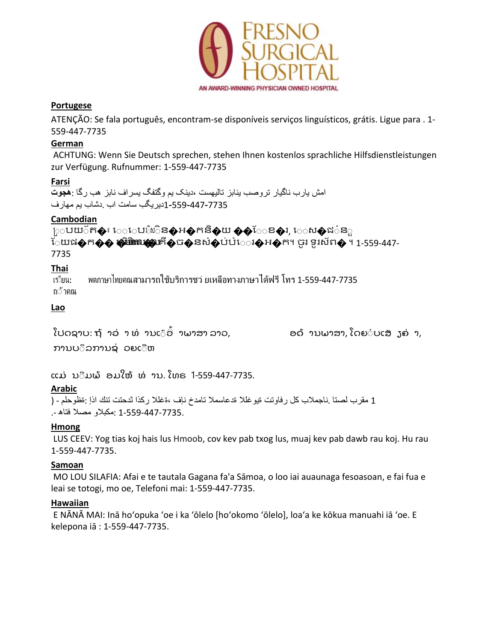

#### **Portugese**

ATENÇÃO: Se fala português, encontram-se disponíveis serviços linguísticos, grátis. Ligue para . 1- 559-447-7735

#### **German**

ACHTUNG: Wenn Sie Deutsch sprechen, stehen Ihnen kostenlos sprachliche Hilfsdienstleistungen zur Verfügung. Rufnummer: 1-559-447-7735

#### **Farsi**

امش یارب ناگیار تروصب ینابز تالیھست ،دینک یم وگتفگ یسراف نابز ھب رگا :**ھجوت** 1-559-447-7735دیریگب سامت اب .دشاب یم مھارف

### **Cambodian**

្រុបយ័ត�៖ េេោឃើរចិន�អ�កនិ�ុយ ��ែខ�រ, េេស�ជ៎នួ ែយផ $\hat{\boldsymbol{\phi}}$ ក $\hat{\boldsymbol{\phi}}$ ស្តំ រំពិតឈ្មោះក៏ $\hat{\boldsymbol{\phi}}$ ច $\hat{\boldsymbol{\phi}}$ នសំ $\hat{\boldsymbol{\phi}}$ ប់បំែរស្តីអ $\hat{\boldsymbol{\phi}}$ ក។ ចូរ ទូរស័ព $\hat{\boldsymbol{\phi}}$  ។ 1-559-447-7735

### **Thai**

เร◌ียน: ถ◌้าคณ พดภาษาไทยคณสามารถใช้บริการชว่ ยเหลือทางภาษาได้ฟรี โทร 1-559-447-7735

### **Lao**

ໂປດຊາບ: ຖ້າວ່າ ທ່ານເ໊ອົ່າພາສາ ລາວ, ອດ້ານພາສາ, ໂດຍ໋ບເສັງຄ່າ, ການບ◌ິລການຊ◌່ ວຍເ◌ືຫ

ແມ່ ນີມພ້ ອມໃຫ້ ທ່ານ. ໂທຣ 1-559-447-7735.

## **Arabic**

1 مقرب لصتا .ناجملاب كل رفاوتت ةیوغللا ةدعاسملا تامدخ نإف ،ةغللا ركذا ثدحتت تنك اذإ :ةظوحلم - ( 1-559-447-7735. :مكبلاو مصلا فتاھ .-

#### **Hmong**

LUS CEEV: Yog tias koj hais lus Hmoob, cov kev pab txog lus, muaj kev pab dawb rau koj. Hu rau 1-559-447-7735.

#### **Samoan**

MO LOU SILAFIA: Afai e te tautala Gagana fa'a Sāmoa, o loo iai auaunaga fesoasoan, e fai fua e leai se totogi, mo oe, Telefoni mai: 1-559-447-7735.

#### **Hawaiian**

E NĀNĀ MAI: Inā hoʻopuka ʻoe i ka ʻōlelo [hoʻokomo ʻōlelo], loaʻa ke kōkua manuahi iā ʻoe. E kelepona iā : 1-559-447-7735.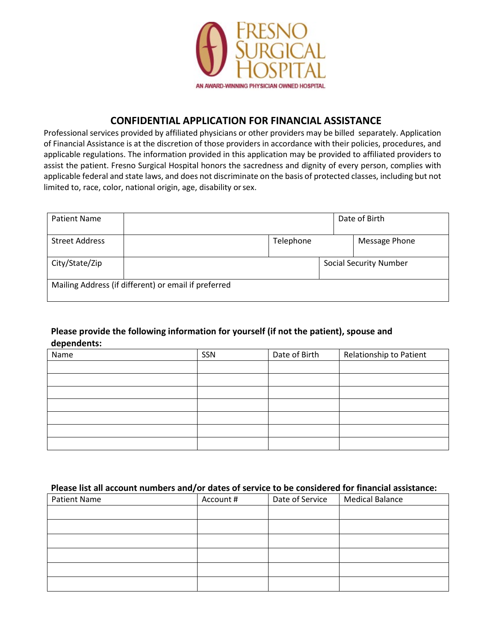

### **CONFIDENTIAL APPLICATION FOR FINANCIAL ASSISTANCE**

Professional services provided by affiliated physicians or other providers may be billed separately. Application of Financial Assistance is at the discretion of those providers in accordance with their policies, procedures, and applicable regulations. The information provided in this application may be provided to affiliated providers to assist the patient. Fresno Surgical Hospital honors the sacredness and dignity of every person, complies with applicable federal and state laws, and does not discriminate on the basis of protected classes, including but not limited to, race, color, national origin, age, disability orsex.

| <b>Patient Name</b>   |                                                      |           | Date of Birth                 |
|-----------------------|------------------------------------------------------|-----------|-------------------------------|
| <b>Street Address</b> |                                                      | Telephone | Message Phone                 |
| City/State/Zip        |                                                      |           | <b>Social Security Number</b> |
|                       | Mailing Address (if different) or email if preferred |           |                               |

### **Please provide the following information for yourself (if not the patient), spouse and dependents:**

| Name | SSN | Date of Birth | Relationship to Patient |
|------|-----|---------------|-------------------------|
|      |     |               |                         |
|      |     |               |                         |
|      |     |               |                         |
|      |     |               |                         |
|      |     |               |                         |
|      |     |               |                         |
|      |     |               |                         |

#### **Please list all account numbers and/or dates of service to be considered for financial assistance:**

| <b>Patient Name</b> | Account # | Date of Service | <b>Medical Balance</b> |
|---------------------|-----------|-----------------|------------------------|
|                     |           |                 |                        |
|                     |           |                 |                        |
|                     |           |                 |                        |
|                     |           |                 |                        |
|                     |           |                 |                        |
|                     |           |                 |                        |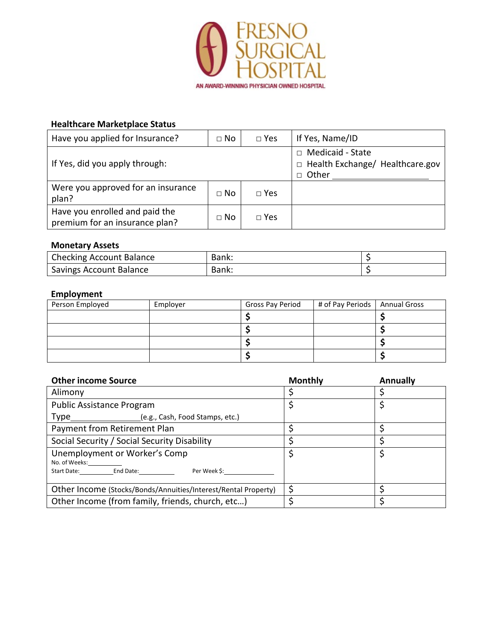

### **Healthcare Marketplace Status**

| Have you applied for Insurance?                                  | $\Box$ No | $\Box$ Yes    | If Yes, Name/ID                                                                |
|------------------------------------------------------------------|-----------|---------------|--------------------------------------------------------------------------------|
| If Yes, did you apply through:                                   |           |               | Medicaid - State<br>$\Box$<br>□ Health Exchange/ Healthcare.gov<br>Other<br>П. |
| Were you approved for an insurance<br>plan?                      | $\Box$ No | $\square$ Yes |                                                                                |
| Have you enrolled and paid the<br>premium for an insurance plan? | $\Box$ No | $\Box$ Yes    |                                                                                |

#### **Monetary Assets**

| <b>Checking Account Balance</b> | Bank: |  |
|---------------------------------|-------|--|
| <b>Savings Account Balance</b>  | Bank: |  |

#### **Employment**

| Person Employed | Employer | Gross Pay Period | # of Pay Periods   Annual Gross |  |
|-----------------|----------|------------------|---------------------------------|--|
|                 |          |                  |                                 |  |
|                 |          |                  |                                 |  |
|                 |          |                  |                                 |  |
|                 |          |                  |                                 |  |

| <b>Other income Source</b>                                                                               | <b>Monthly</b> | <b>Annually</b> |
|----------------------------------------------------------------------------------------------------------|----------------|-----------------|
| Alimony                                                                                                  |                |                 |
| Public Assistance Program                                                                                |                |                 |
| Type ________________________(e.g., Cash, Food Stamps, etc.)                                             |                |                 |
| Payment from Retirement Plan                                                                             |                |                 |
| Social Security / Social Security Disability                                                             |                |                 |
| Unemployment or Worker's Comp<br>No. of Weeks:____________<br>Start Date: End Date:<br>Per Week \$: www. |                |                 |
| Other Income (Stocks/Bonds/Annuities/Interest/Rental Property)                                           |                |                 |
| Other Income (from family, friends, church, etc)                                                         |                |                 |